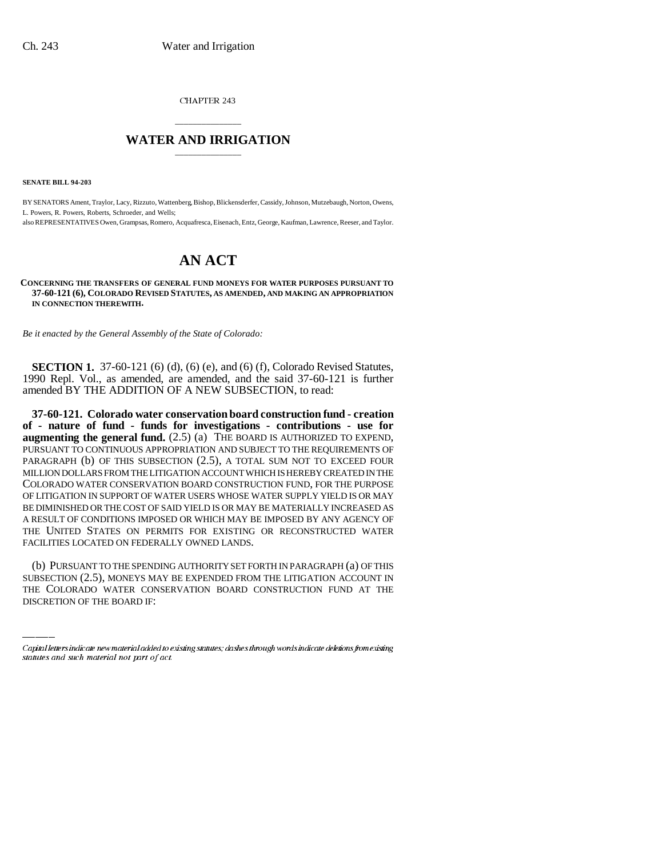CHAPTER 243

## \_\_\_\_\_\_\_\_\_\_\_\_\_\_\_ **WATER AND IRRIGATION** \_\_\_\_\_\_\_\_\_\_\_\_\_\_\_

**SENATE BILL 94-203**

BY SENATORS Ament, Traylor, Lacy, Rizzuto, Wattenberg, Bishop, Blickensderfer, Cassidy, Johnson, Mutzebaugh, Norton, Owens, L. Powers, R. Powers, Roberts, Schroeder, and Wells;

also REPRESENTATIVES Owen, Grampsas, Romero, Acquafresca, Eisenach, Entz, George, Kaufman, Lawrence, Reeser, and Taylor.

# **AN ACT**

#### **CONCERNING THE TRANSFERS OF GENERAL FUND MONEYS FOR WATER PURPOSES PURSUANT TO 37-60-121 (6), COLORADO REVISED STATUTES, AS AMENDED, AND MAKING AN APPROPRIATION IN CONNECTION THEREWITH.**

*Be it enacted by the General Assembly of the State of Colorado:*

**SECTION 1.** 37-60-121 (6) (d), (6) (e), and (6) (f), Colorado Revised Statutes, 1990 Repl. Vol., as amended, are amended, and the said 37-60-121 is further amended BY THE ADDITION OF A NEW SUBSECTION, to read:

**37-60-121. Colorado water conservation board construction fund - creation of - nature of fund - funds for investigations - contributions - use for augmenting the general fund.** (2.5) (a) THE BOARD IS AUTHORIZED TO EXPEND, PURSUANT TO CONTINUOUS APPROPRIATION AND SUBJECT TO THE REQUIREMENTS OF PARAGRAPH (b) OF THIS SUBSECTION (2.5), A TOTAL SUM NOT TO EXCEED FOUR MILLION DOLLARS FROM THE LITIGATION ACCOUNT WHICH IS HEREBY CREATED IN THE COLORADO WATER CONSERVATION BOARD CONSTRUCTION FUND, FOR THE PURPOSE OF LITIGATION IN SUPPORT OF WATER USERS WHOSE WATER SUPPLY YIELD IS OR MAY BE DIMINISHED OR THE COST OF SAID YIELD IS OR MAY BE MATERIALLY INCREASED AS A RESULT OF CONDITIONS IMPOSED OR WHICH MAY BE IMPOSED BY ANY AGENCY OF THE UNITED STATES ON PERMITS FOR EXISTING OR RECONSTRUCTED WATER FACILITIES LOCATED ON FEDERALLY OWNED LANDS.

 $\frac{1}{2}$ (b) PURSUANT TO THE SPENDING AUTHORITY SET FORTH IN PARAGRAPH (a) OF THIS SUBSECTION (2.5), MONEYS MAY BE EXPENDED FROM THE LITIGATION ACCOUNT IN THE COLORADO WATER CONSERVATION BOARD CONSTRUCTION FUND AT THE DISCRETION OF THE BOARD IF:

Capital letters indicate new material added to existing statutes; dashes through words indicate deletions from existing statutes and such material not part of act.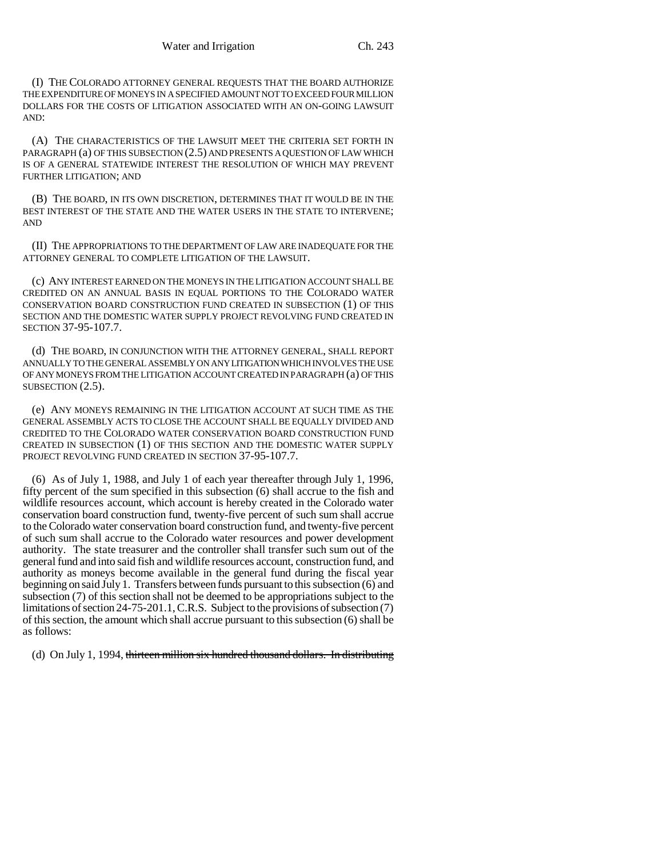(I) THE COLORADO ATTORNEY GENERAL REQUESTS THAT THE BOARD AUTHORIZE THE EXPENDITURE OF MONEYS IN A SPECIFIED AMOUNT NOT TO EXCEED FOUR MILLION DOLLARS FOR THE COSTS OF LITIGATION ASSOCIATED WITH AN ON-GOING LAWSUIT AND:

(A) THE CHARACTERISTICS OF THE LAWSUIT MEET THE CRITERIA SET FORTH IN PARAGRAPH (a) OF THIS SUBSECTION (2.5) AND PRESENTS A QUESTION OF LAW WHICH IS OF A GENERAL STATEWIDE INTEREST THE RESOLUTION OF WHICH MAY PREVENT FURTHER LITIGATION; AND

(B) THE BOARD, IN ITS OWN DISCRETION, DETERMINES THAT IT WOULD BE IN THE BEST INTEREST OF THE STATE AND THE WATER USERS IN THE STATE TO INTERVENE; AND

(II) THE APPROPRIATIONS TO THE DEPARTMENT OF LAW ARE INADEQUATE FOR THE ATTORNEY GENERAL TO COMPLETE LITIGATION OF THE LAWSUIT.

(c) ANY INTEREST EARNED ON THE MONEYS IN THE LITIGATION ACCOUNT SHALL BE CREDITED ON AN ANNUAL BASIS IN EQUAL PORTIONS TO THE COLORADO WATER CONSERVATION BOARD CONSTRUCTION FUND CREATED IN SUBSECTION (1) OF THIS SECTION AND THE DOMESTIC WATER SUPPLY PROJECT REVOLVING FUND CREATED IN SECTION 37-95-107.7.

(d) THE BOARD, IN CONJUNCTION WITH THE ATTORNEY GENERAL, SHALL REPORT ANNUALLY TO THE GENERAL ASSEMBLY ON ANY LITIGATION WHICH INVOLVES THE USE OF ANY MONEYS FROM THE LITIGATION ACCOUNT CREATED IN PARAGRAPH (a) OF THIS SUBSECTION  $(2.5)$ .

(e) ANY MONEYS REMAINING IN THE LITIGATION ACCOUNT AT SUCH TIME AS THE GENERAL ASSEMBLY ACTS TO CLOSE THE ACCOUNT SHALL BE EQUALLY DIVIDED AND CREDITED TO THE COLORADO WATER CONSERVATION BOARD CONSTRUCTION FUND CREATED IN SUBSECTION (1) OF THIS SECTION AND THE DOMESTIC WATER SUPPLY PROJECT REVOLVING FUND CREATED IN SECTION 37-95-107.7.

(6) As of July 1, 1988, and July 1 of each year thereafter through July 1, 1996, fifty percent of the sum specified in this subsection (6) shall accrue to the fish and wildlife resources account, which account is hereby created in the Colorado water conservation board construction fund, twenty-five percent of such sum shall accrue to the Colorado water conservation board construction fund, and twenty-five percent of such sum shall accrue to the Colorado water resources and power development authority. The state treasurer and the controller shall transfer such sum out of the general fund and into said fish and wildlife resources account, construction fund, and authority as moneys become available in the general fund during the fiscal year beginning on said July 1. Transfers between funds pursuant to this subsection (6) and subsection (7) of this section shall not be deemed to be appropriations subject to the limitations of section 24-75-201.1, C.R.S. Subject to the provisions of subsection (7) of this section, the amount which shall accrue pursuant to this subsection (6) shall be as follows:

(d) On July 1, 1994, thirteen million six hundred thousand dollars. In distributing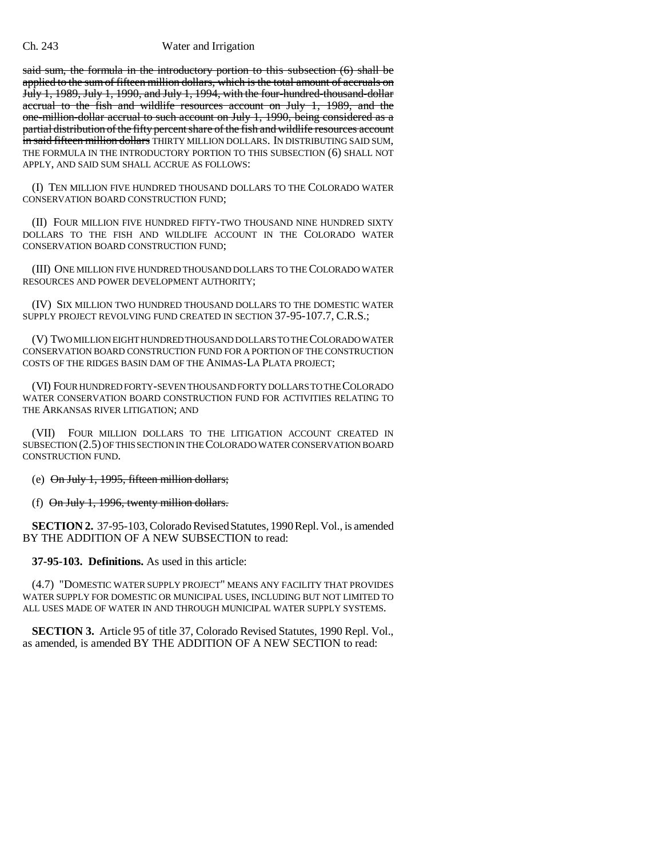#### Ch. 243 Water and Irrigation

said sum, the formula in the introductory portion to this subsection (6) shall be applied to the sum of fifteen million dollars, which is the total amount of accruals on July 1, 1989, July 1, 1990, and July 1, 1994, with the four-hundred-thousand-dollar accrual to the fish and wildlife resources account on July 1, 1989, and the one-million-dollar accrual to such account on July 1, 1990, being considered as a partial distribution of the fifty percent share of the fish and wildlife resources account in said fifteen million dollars THIRTY MILLION DOLLARS. IN DISTRIBUTING SAID SUM, THE FORMULA IN THE INTRODUCTORY PORTION TO THIS SUBSECTION (6) SHALL NOT APPLY, AND SAID SUM SHALL ACCRUE AS FOLLOWS:

(I) TEN MILLION FIVE HUNDRED THOUSAND DOLLARS TO THE COLORADO WATER CONSERVATION BOARD CONSTRUCTION FUND;

(II) FOUR MILLION FIVE HUNDRED FIFTY-TWO THOUSAND NINE HUNDRED SIXTY DOLLARS TO THE FISH AND WILDLIFE ACCOUNT IN THE COLORADO WATER CONSERVATION BOARD CONSTRUCTION FUND;

(III) ONE MILLION FIVE HUNDRED THOUSAND DOLLARS TO THE COLORADO WATER RESOURCES AND POWER DEVELOPMENT AUTHORITY;

(IV) SIX MILLION TWO HUNDRED THOUSAND DOLLARS TO THE DOMESTIC WATER SUPPLY PROJECT REVOLVING FUND CREATED IN SECTION 37-95-107.7, C.R.S.;

(V) TWO MILLION EIGHT HUNDRED THOUSAND DOLLARS TO THE COLORADO WATER CONSERVATION BOARD CONSTRUCTION FUND FOR A PORTION OF THE CONSTRUCTION COSTS OF THE RIDGES BASIN DAM OF THE ANIMAS-LA PLATA PROJECT;

(VI) FOUR HUNDRED FORTY-SEVEN THOUSAND FORTY DOLLARS TO THE COLORADO WATER CONSERVATION BOARD CONSTRUCTION FUND FOR ACTIVITIES RELATING TO THE ARKANSAS RIVER LITIGATION; AND

(VII) FOUR MILLION DOLLARS TO THE LITIGATION ACCOUNT CREATED IN SUBSECTION (2.5) OF THIS SECTION IN THE COLORADO WATER CONSERVATION BOARD CONSTRUCTION FUND.

(e)  $\Theta$ n July 1, 1995, fifteen million dollars;

(f)  $\Theta$ n July 1, 1996, twenty million dollars.

**SECTION 2.** 37-95-103, Colorado Revised Statutes, 1990 Repl. Vol., is amended BY THE ADDITION OF A NEW SUBSECTION to read:

**37-95-103. Definitions.** As used in this article:

(4.7) "DOMESTIC WATER SUPPLY PROJECT" MEANS ANY FACILITY THAT PROVIDES WATER SUPPLY FOR DOMESTIC OR MUNICIPAL USES, INCLUDING BUT NOT LIMITED TO ALL USES MADE OF WATER IN AND THROUGH MUNICIPAL WATER SUPPLY SYSTEMS.

**SECTION 3.** Article 95 of title 37, Colorado Revised Statutes, 1990 Repl. Vol., as amended, is amended BY THE ADDITION OF A NEW SECTION to read: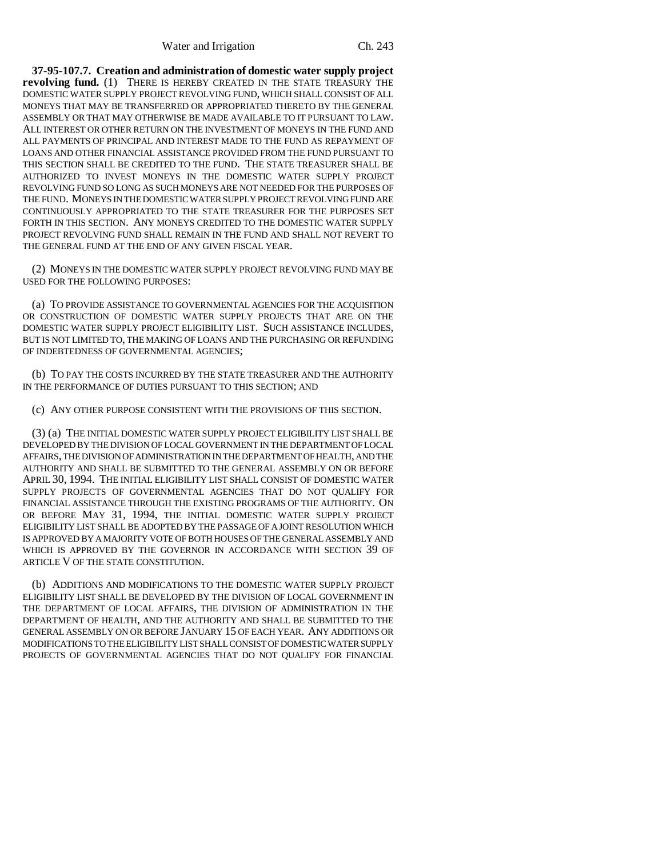**37-95-107.7. Creation and administration of domestic water supply project revolving fund.** (1) THERE IS HEREBY CREATED IN THE STATE TREASURY THE DOMESTIC WATER SUPPLY PROJECT REVOLVING FUND, WHICH SHALL CONSIST OF ALL MONEYS THAT MAY BE TRANSFERRED OR APPROPRIATED THERETO BY THE GENERAL ASSEMBLY OR THAT MAY OTHERWISE BE MADE AVAILABLE TO IT PURSUANT TO LAW. ALL INTEREST OR OTHER RETURN ON THE INVESTMENT OF MONEYS IN THE FUND AND ALL PAYMENTS OF PRINCIPAL AND INTEREST MADE TO THE FUND AS REPAYMENT OF LOANS AND OTHER FINANCIAL ASSISTANCE PROVIDED FROM THE FUND PURSUANT TO THIS SECTION SHALL BE CREDITED TO THE FUND. THE STATE TREASURER SHALL BE AUTHORIZED TO INVEST MONEYS IN THE DOMESTIC WATER SUPPLY PROJECT REVOLVING FUND SO LONG AS SUCH MONEYS ARE NOT NEEDED FOR THE PURPOSES OF THE FUND. MONEYS IN THE DOMESTIC WATER SUPPLY PROJECT REVOLVING FUND ARE CONTINUOUSLY APPROPRIATED TO THE STATE TREASURER FOR THE PURPOSES SET FORTH IN THIS SECTION. ANY MONEYS CREDITED TO THE DOMESTIC WATER SUPPLY PROJECT REVOLVING FUND SHALL REMAIN IN THE FUND AND SHALL NOT REVERT TO THE GENERAL FUND AT THE END OF ANY GIVEN FISCAL YEAR.

(2) MONEYS IN THE DOMESTIC WATER SUPPLY PROJECT REVOLVING FUND MAY BE USED FOR THE FOLLOWING PURPOSES:

(a) TO PROVIDE ASSISTANCE TO GOVERNMENTAL AGENCIES FOR THE ACQUISITION OR CONSTRUCTION OF DOMESTIC WATER SUPPLY PROJECTS THAT ARE ON THE DOMESTIC WATER SUPPLY PROJECT ELIGIBILITY LIST. SUCH ASSISTANCE INCLUDES, BUT IS NOT LIMITED TO, THE MAKING OF LOANS AND THE PURCHASING OR REFUNDING OF INDEBTEDNESS OF GOVERNMENTAL AGENCIES;

(b) TO PAY THE COSTS INCURRED BY THE STATE TREASURER AND THE AUTHORITY IN THE PERFORMANCE OF DUTIES PURSUANT TO THIS SECTION; AND

(c) ANY OTHER PURPOSE CONSISTENT WITH THE PROVISIONS OF THIS SECTION.

(3) (a) THE INITIAL DOMESTIC WATER SUPPLY PROJECT ELIGIBILITY LIST SHALL BE DEVELOPED BY THE DIVISION OF LOCAL GOVERNMENT IN THE DEPARTMENT OF LOCAL AFFAIRS, THE DIVISION OF ADMINISTRATION IN THE DEPARTMENT OF HEALTH, AND THE AUTHORITY AND SHALL BE SUBMITTED TO THE GENERAL ASSEMBLY ON OR BEFORE APRIL 30, 1994. THE INITIAL ELIGIBILITY LIST SHALL CONSIST OF DOMESTIC WATER SUPPLY PROJECTS OF GOVERNMENTAL AGENCIES THAT DO NOT QUALIFY FOR FINANCIAL ASSISTANCE THROUGH THE EXISTING PROGRAMS OF THE AUTHORITY. ON OR BEFORE MAY 31, 1994, THE INITIAL DOMESTIC WATER SUPPLY PROJECT ELIGIBILITY LIST SHALL BE ADOPTED BY THE PASSAGE OF A JOINT RESOLUTION WHICH IS APPROVED BY A MAJORITY VOTE OF BOTH HOUSES OF THE GENERAL ASSEMBLY AND WHICH IS APPROVED BY THE GOVERNOR IN ACCORDANCE WITH SECTION 39 OF ARTICLE V OF THE STATE CONSTITUTION.

(b) ADDITIONS AND MODIFICATIONS TO THE DOMESTIC WATER SUPPLY PROJECT ELIGIBILITY LIST SHALL BE DEVELOPED BY THE DIVISION OF LOCAL GOVERNMENT IN THE DEPARTMENT OF LOCAL AFFAIRS, THE DIVISION OF ADMINISTRATION IN THE DEPARTMENT OF HEALTH, AND THE AUTHORITY AND SHALL BE SUBMITTED TO THE GENERAL ASSEMBLY ON OR BEFORE JANUARY 15 OF EACH YEAR. ANY ADDITIONS OR MODIFICATIONS TO THE ELIGIBILITY LIST SHALL CONSIST OF DOMESTIC WATER SUPPLY PROJECTS OF GOVERNMENTAL AGENCIES THAT DO NOT QUALIFY FOR FINANCIAL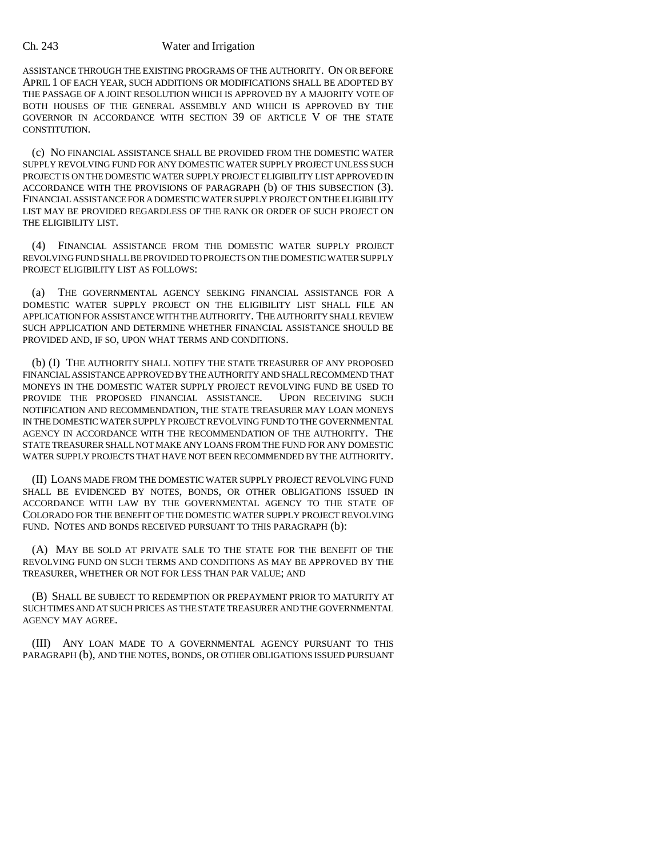### Ch. 243 Water and Irrigation

ASSISTANCE THROUGH THE EXISTING PROGRAMS OF THE AUTHORITY. ON OR BEFORE APRIL 1 OF EACH YEAR, SUCH ADDITIONS OR MODIFICATIONS SHALL BE ADOPTED BY THE PASSAGE OF A JOINT RESOLUTION WHICH IS APPROVED BY A MAJORITY VOTE OF BOTH HOUSES OF THE GENERAL ASSEMBLY AND WHICH IS APPROVED BY THE GOVERNOR IN ACCORDANCE WITH SECTION 39 OF ARTICLE V OF THE STATE CONSTITUTION.

(c) NO FINANCIAL ASSISTANCE SHALL BE PROVIDED FROM THE DOMESTIC WATER SUPPLY REVOLVING FUND FOR ANY DOMESTIC WATER SUPPLY PROJECT UNLESS SUCH PROJECT IS ON THE DOMESTIC WATER SUPPLY PROJECT ELIGIBILITY LIST APPROVED IN ACCORDANCE WITH THE PROVISIONS OF PARAGRAPH (b) OF THIS SUBSECTION (3). FINANCIAL ASSISTANCE FOR A DOMESTIC WATER SUPPLY PROJECT ON THE ELIGIBILITY LIST MAY BE PROVIDED REGARDLESS OF THE RANK OR ORDER OF SUCH PROJECT ON THE ELIGIBILITY LIST.

(4) FINANCIAL ASSISTANCE FROM THE DOMESTIC WATER SUPPLY PROJECT REVOLVING FUND SHALL BE PROVIDED TO PROJECTS ON THE DOMESTIC WATER SUPPLY PROJECT ELIGIBILITY LIST AS FOLLOWS:

(a) THE GOVERNMENTAL AGENCY SEEKING FINANCIAL ASSISTANCE FOR A DOMESTIC WATER SUPPLY PROJECT ON THE ELIGIBILITY LIST SHALL FILE AN APPLICATION FOR ASSISTANCE WITH THE AUTHORITY. THE AUTHORITY SHALL REVIEW SUCH APPLICATION AND DETERMINE WHETHER FINANCIAL ASSISTANCE SHOULD BE PROVIDED AND, IF SO, UPON WHAT TERMS AND CONDITIONS.

(b) (I) THE AUTHORITY SHALL NOTIFY THE STATE TREASURER OF ANY PROPOSED FINANCIAL ASSISTANCE APPROVED BY THE AUTHORITY AND SHALL RECOMMEND THAT MONEYS IN THE DOMESTIC WATER SUPPLY PROJECT REVOLVING FUND BE USED TO PROVIDE THE PROPOSED FINANCIAL ASSISTANCE. UPON RECEIVING SUCH NOTIFICATION AND RECOMMENDATION, THE STATE TREASURER MAY LOAN MONEYS IN THE DOMESTIC WATER SUPPLY PROJECT REVOLVING FUND TO THE GOVERNMENTAL AGENCY IN ACCORDANCE WITH THE RECOMMENDATION OF THE AUTHORITY. THE STATE TREASURER SHALL NOT MAKE ANY LOANS FROM THE FUND FOR ANY DOMESTIC WATER SUPPLY PROJECTS THAT HAVE NOT BEEN RECOMMENDED BY THE AUTHORITY.

(II) LOANS MADE FROM THE DOMESTIC WATER SUPPLY PROJECT REVOLVING FUND SHALL BE EVIDENCED BY NOTES, BONDS, OR OTHER OBLIGATIONS ISSUED IN ACCORDANCE WITH LAW BY THE GOVERNMENTAL AGENCY TO THE STATE OF COLORADO FOR THE BENEFIT OF THE DOMESTIC WATER SUPPLY PROJECT REVOLVING FUND. NOTES AND BONDS RECEIVED PURSUANT TO THIS PARAGRAPH (b):

(A) MAY BE SOLD AT PRIVATE SALE TO THE STATE FOR THE BENEFIT OF THE REVOLVING FUND ON SUCH TERMS AND CONDITIONS AS MAY BE APPROVED BY THE TREASURER, WHETHER OR NOT FOR LESS THAN PAR VALUE; AND

(B) SHALL BE SUBJECT TO REDEMPTION OR PREPAYMENT PRIOR TO MATURITY AT SUCH TIMES AND AT SUCH PRICES AS THE STATE TREASURER AND THE GOVERNMENTAL AGENCY MAY AGREE.

(III) ANY LOAN MADE TO A GOVERNMENTAL AGENCY PURSUANT TO THIS PARAGRAPH (b), AND THE NOTES, BONDS, OR OTHER OBLIGATIONS ISSUED PURSUANT